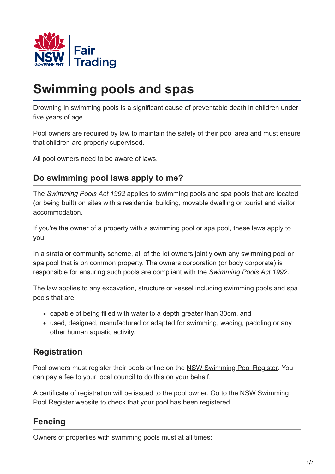

# **Swimming pools and spas**

Drowning in swimming pools is a significant cause of preventable death in children under five years of age.

Pool owners are required by law to maintain the safety of their pool area and must ensure that children are properly supervised.

All pool owners need to be aware of laws.

## **Do swimming pool laws apply to me?**

The *Swimming Pools Act 1992* applies to swimming pools and spa pools that are located (or being built) on sites with a residential building, movable dwelling or tourist and visitor accommodation.

If you're the owner of a property with a swimming pool or spa pool, these laws apply to you.

In a strata or community scheme, all of the lot owners jointly own any swimming pool or spa pool that is on common property. The owners corporation (or body corporate) is responsible for ensuring such pools are compliant with the *Swimming Pools Act 1992*.

The law applies to any excavation, structure or vessel including swimming pools and spa pools that are:

- capable of being filled with water to a depth greater than 30cm, and
- used, designed, manufactured or adapted for swimming, wading, paddling or any other human aquatic activity.

#### **Registration**

Pool owners must register their pools online on the [NSW Swimming Pool Register](http://www.swimmingpoolregister.nsw.gov.au/). You can pay a fee to your local council to do this on your behalf.

[A certificate of registration will be issued to the pool owner. Go to the NSW Swimming](http://www.swimmingpoolregister.nsw.gov.au/) Pool Register website to check that your pool has been registered.

#### **Fencing**

Owners of properties with swimming pools must at all times: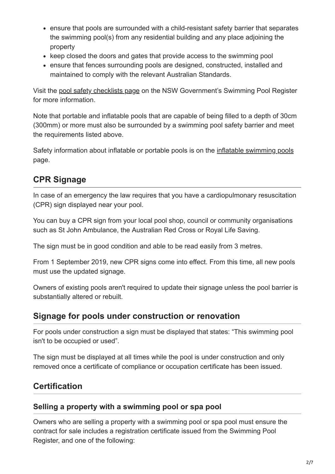- ensure that pools are surrounded with a child-resistant safety barrier that separates the swimming pool(s) from any residential building and any place adjoining the property
- keep closed the doors and gates that provide access to the swimming pool
- ensure that fences surrounding pools are designed, constructed, installed and maintained to comply with the relevant Australian Standards.

Visit the [pool safety checklists page](http://www.swimmingpoolregister.nsw.gov.au/checklists) on the NSW Government's Swimming Pool Register for more information.

Note that portable and inflatable pools that are capable of being filled to a depth of 30cm (300mm) or more must also be surrounded by a swimming pool safety barrier and meet the requirements listed above.

Safety information about inflatable or portable pools is on the [inflatable swimming pools](https://www.fairtrading.nsw.gov.au/housing-and-property/building-and-renovating/pools-and-pool-safety/portable-swimming-pools) page.

# **CPR Signage**

In case of an emergency the law requires that you have a cardiopulmonary resuscitation (CPR) sign displayed near your pool.

You can buy a CPR sign from your local pool shop, council or community organisations such as St John Ambulance, the Australian Red Cross or Royal Life Saving.

The sign must be in good condition and able to be read easily from 3 metres.

From 1 September 2019, new CPR signs come into effect. From this time, all new pools must use the updated signage.

Owners of existing pools aren't required to update their signage unless the pool barrier is substantially altered or rebuilt.

#### **Signage for pools under construction or renovation**

For pools under construction a sign must be displayed that states: "This swimming pool isn't to be occupied or used".

The sign must be displayed at all times while the pool is under construction and only removed once a certificate of compliance or occupation certificate has been issued.

# **Certification**

#### **Selling a property with a swimming pool or spa pool**

Owners who are selling a property with a swimming pool or spa pool must ensure the contract for sale includes a registration certificate issued from the Swimming Pool Register, and one of the following: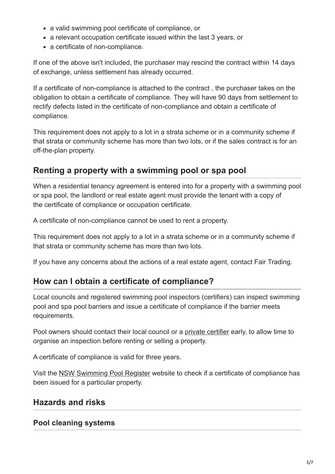- a valid swimming pool certificate of compliance, or
- a relevant occupation certificate issued within the last 3 years, or
- a certificate of non-compliance.

If one of the above isn't included, the purchaser may rescind the contract within 14 days of exchange, unless settlement has already occurred.

If a certificate of non-compliance is attached to the contract , the purchaser takes on the obligation to obtain a certificate of compliance. They will have 90 days from settlement to rectify defects listed in the certificate of non-compliance and obtain a certificate of compliance.

This requirement does not apply to a lot in a strata scheme or in a community scheme if that strata or community scheme has more than two lots, or if the sales contract is for an off-the-plan property.

## **Renting a property with a swimming pool or spa pool**

When a residential tenancy agreement is entered into for a property with a swimming pool or spa pool, the landlord or real estate agent must provide the tenant with a copy of the certificate of compliance or occupation certificate.

A certificate of non-compliance cannot be used to rent a property.

This requirement does not apply to a lot in a strata scheme or in a community scheme if that strata or community scheme has more than two lots.

If you have any concerns about the actions of a real estate agent, contact Fair Trading.

#### **How can I obtain a certificate of compliance?**

Local councils and registered swimming pool inspectors (certifiers) can inspect swimming pool and spa pool barriers and issue a certificate of compliance if the barrier meets requirements.

Pool owners should contact their local council or a [private certifier](http://www.swimmingpoolregister.nsw.gov.au/inspection) early, to allow time to organise an inspection before renting or selling a property.

A certificate of compliance is valid for three years.

Visit the [NSW Swimming Pool Register](http://www.swimmingpoolregister.nsw.gov.au/) website to check if a certificate of compliance has been issued for a particular property.

#### **Hazards and risks**

#### **Pool cleaning systems**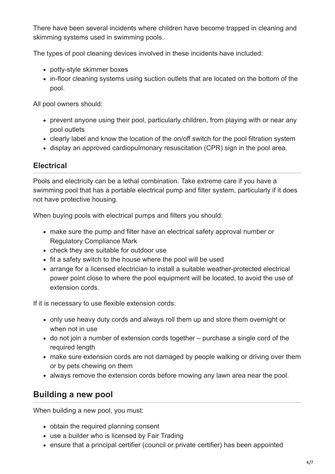There have been several incidents where children have become trapped in cleaning and skimming systems used in swimming pools.

The types of pool cleaning devices involved in these incidents have included:

- potty-style skimmer boxes
- in-floor cleaning systems using suction outlets that are located on the bottom of the pool.

All pool owners should:

- prevent anyone using their pool, particularly children, from playing with or near any pool outlets
- clearly label and know the location of the on/off switch for the pool filtration system
- display an approved cardiopulmonary resuscitation (CPR) sign in the pool area.

#### **Electrical**

Pools and electricity can be a lethal combination. Take extreme care if you have a swimming pool that has a portable electrical pump and filter system, particularly if it does not have protective housing.

When buying pools with electrical pumps and filters you should:

- make sure the pump and filter have an electrical safety approval number or Regulatory Compliance Mark
- check they are suitable for outdoor use
- fit a safety switch to the house where the pool will be used
- arrange for a licensed electrician to install a suitable weather-protected electrical power point close to where the pool equipment will be located, to avoid the use of extension cords.

If it is necessary to use flexible extension cords:

- only use heavy duty cords and always roll them up and store them overnight or when not in use
- do not join a number of extension cords together purchase a single cord of the required length
- make sure extension cords are not damaged by people walking or driving over them or by pets chewing on them
- always remove the extension cords before mowing any lawn area near the pool.

#### **Building a new pool**

When building a new pool, you must:

- obtain the required planning consent
- use a builder who is licensed by Fair Trading
- ensure that a principal certifier (council or private certifier) has been appointed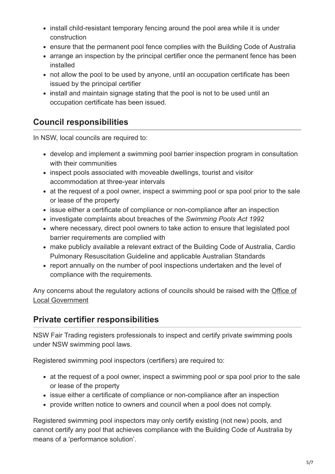- install child-resistant temporary fencing around the pool area while it is under construction
- ensure that the permanent pool fence complies with the Building Code of Australia
- arrange an inspection by the principal certifier once the permanent fence has been installed
- not allow the pool to be used by anyone, until an occupation certificate has been issued by the principal certifier
- install and maintain signage stating that the pool is not to be used until an occupation certificate has been issued.

## **Council responsibilities**

In NSW, local councils are required to:

- develop and implement a swimming pool barrier inspection program in consultation with their communities
- inspect pools associated with moveable dwellings, tourist and visitor accommodation at three-year intervals
- at the request of a pool owner, inspect a swimming pool or spa pool prior to the sale or lease of the property
- issue either a certificate of compliance or non-compliance after an inspection
- investigate complaints about breaches of the *Swimming Pools Act 1992*
- where necessary, direct pool owners to take action to ensure that legislated pool barrier requirements are complied with
- make publicly available a relevant extract of the Building Code of Australia, Cardio Pulmonary Resuscitation Guideline and applicable Australian Standards
- report annually on the number of pool inspections undertaken and the level of compliance with the requirements.

[Any concerns about the regulatory actions of councils should be raised with the Office of](http://www.olg.nsw.gov.au/) Local Government

## **Private certifier responsibilities**

NSW Fair Trading registers professionals to inspect and certify private swimming pools under NSW swimming pool laws.

Registered swimming pool inspectors (certifiers) are required to:

- at the request of a pool owner, inspect a swimming pool or spa pool prior to the sale or lease of the property
- issue either a certificate of compliance or non-compliance after an inspection
- provide written notice to owners and council when a pool does not comply.

Registered swimming pool inspectors may only certify existing (not new) pools, and cannot certify any pool that achieves compliance with the Building Code of Australia by means of a 'performance solution'.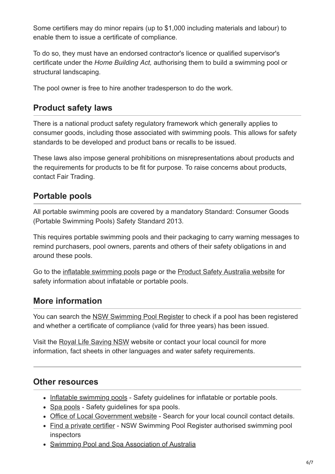Some certifiers may do minor repairs (up to \$1,000 including materials and labour) to enable them to issue a certificate of compliance.

To do so, they must have an endorsed contractor's licence or qualified supervisor's certificate under the *Home Building Act,* authorising them to build a swimming pool or structural landscaping.

The pool owner is free to hire another tradesperson to do the work.

#### **Product safety laws**

There is a national product safety regulatory framework which generally applies to consumer goods, including those associated with swimming pools. This allows for safety standards to be developed and product bans or recalls to be issued.

These laws also impose general prohibitions on misrepresentations about products and the requirements for products to be fit for purpose. To raise concerns about products, contact Fair Trading.

## **Portable pools**

All portable swimming pools are covered by a mandatory Standard: Consumer Goods (Portable Swimming Pools) Safety Standard 2013.

This requires portable swimming pools and their packaging to carry warning messages to remind purchasers, pool owners, parents and others of their safety obligations in and around these pools.

Go to the [inflatable swimming pools](https://www.fairtrading.nsw.gov.au/housing-and-property/building-and-renovating/pools-and-pool-safety/portable-swimming-pools) page or the [Product Safety Australia website](http://www.productsafety.gov.au/) for safety information about inflatable or portable pools.

# **More information**

You can search the [NSW Swimming Pool Register](http://www.swimmingpoolregister.nsw.gov.au/) to check if a pool has been registered and whether a certificate of compliance (valid for three years) has been issued.

Visit the [Royal Life Saving NSW](http://www.bepoolsafe.com.au/) website or contact your local council for more information, fact sheets in other languages and water safety requirements.

#### **Other resources**

- [Inflatable swimming pools](https://www.fairtrading.nsw.gov.au/housing-and-property/building-and-renovating/pools-and-pool-safety/portable-swimming-pools)  Safety quidelines for inflatable or portable pools.
- [Spa pools](https://www.fairtrading.nsw.gov.au/housing-and-property/building-and-renovating/pools-and-pool-safety/swimming-pools-and-spas)  Safety guidelines for spa pools.
- [Office of Local Government website](http://www.olg.nsw.gov.au/)  Search for your local council contact details.
- [Find a private certifier](http://www.swimmingpoolregister.nsw.gov.au/inspection) NSW Swimming Pool Register authorised swimming pool inspectors
- [Swimming Pool and Spa Association of Australia](http://www.spasa.com.au/)